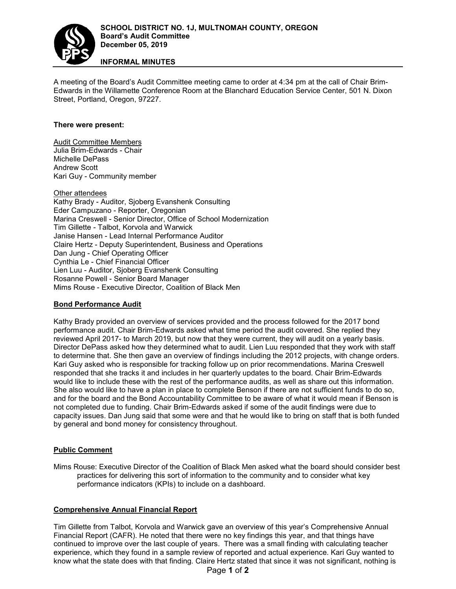

# **INFORMAL MINUTES**

A meeting of the Board's Audit Committee meeting came to order at 4:34 pm at the call of Chair Brim-Edwards in the Willamette Conference Room at the Blanchard Education Service Center, 501 N. Dixon Street, Portland, Oregon, 97227.

## **There were present:**

Audit Committee Members Julia Brim-Edwards - Chair Michelle DePass Andrew Scott Kari Guy - Community member

Other attendees Kathy Brady - Auditor, Sjoberg Evanshenk Consulting Eder Campuzano - Reporter, Oregonian Marina Creswell - Senior Director, Office of School Modernization [Tim Gillette](https://tkw.com/team_item/tim-gillette/) - Talbot, Korvola and Warwick Janise Hansen - Lead Internal Performance Auditor Claire Hertz - Deputy Superintendent, Business and Operations Dan Jung - Chief Operating Officer Cynthia Le - Chief Financial Officer Lien Luu - Auditor, Sjoberg Evanshenk Consulting Rosanne Powell - Senior Board Manager Mims Rouse - Executive Director, Coalition of Black Men

#### **Bond Performance Audit**

Kathy Brady provided an overview of services provided and the process followed for the 2017 bond performance audit. Chair Brim-Edwards asked what time period the audit covered. She replied they reviewed April 2017- to March 2019, but now that they were current, they will audit on a yearly basis. Director DePass asked how they determined what to audit. Lien Luu responded that they work with staff to determine that. She then gave an overview of findings including the 2012 projects, with change orders. Kari Guy asked who is responsible for tracking follow up on prior recommendations. Marina Creswell responded that she tracks it and includes in her quarterly updates to the board. Chair Brim-Edwards would like to include these with the rest of the performance audits, as well as share out this information. She also would like to have a plan in place to complete Benson if there are not sufficient funds to do so, and for the board and the Bond Accountability Committee to be aware of what it would mean if Benson is not completed due to funding. Chair Brim-Edwards asked if some of the audit findings were due to capacity issues. Dan Jung said that some were and that he would like to bring on staff that is both funded by general and bond money for consistency throughout.

# **Public Comment**

Mims Rouse: Executive Director of the Coalition of Black Men asked what the board should consider best practices for delivering this sort of information to the community and to consider what key performance indicators (KPIs) to include on a dashboard.

#### **Comprehensive Annual Financial Report**

Tim Gillette from Talbot, Korvola and Warwick gave an overview of this year's Comprehensive Annual Financial Report (CAFR). He noted that there were no key findings this year, and that things have continued to improve over the last couple of years. There was a small finding with calculating teacher experience, which they found in a sample review of reported and actual experience. Kari Guy wanted to know what the state does with that finding. Claire Hertz stated that since it was not significant, nothing is